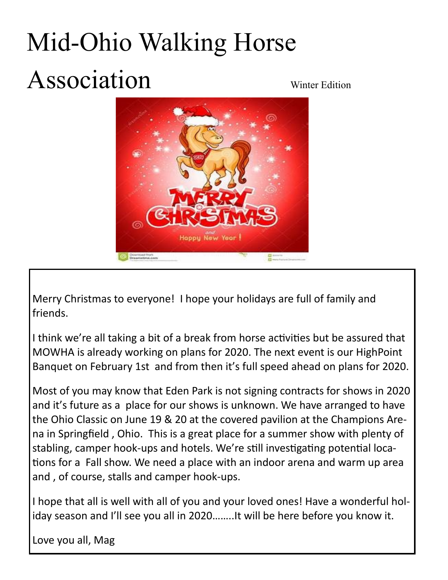## Mid-Ohio Walking Horse Association Winter Edition

Merry Christmas to everyone! I hope your holidays are full of family and friends.

I think we're all taking a bit of a break from horse activities but be assured that MOWHA is already working on plans for 2020. The next event is our HighPoint Banquet on February 1st and from then it's full speed ahead on plans for 2020.

Most of you may know that Eden Park is not signing contracts for shows in 2020 and it's future as a place for our shows is unknown. We have arranged to have the Ohio Classic on June 19 & 20 at the covered pavilion at the Champions Arena in Springfield , Ohio. This is a great place for a summer show with plenty of stabling, camper hook-ups and hotels. We're still investigating potential locations for a Fall show. We need a place with an indoor arena and warm up area and , of course, stalls and camper hook-ups.

I hope that all is well with all of you and your loved ones! Have a wonderful holiday season and I'll see you all in 2020……..It will be here before you know it.

Love you all, Mag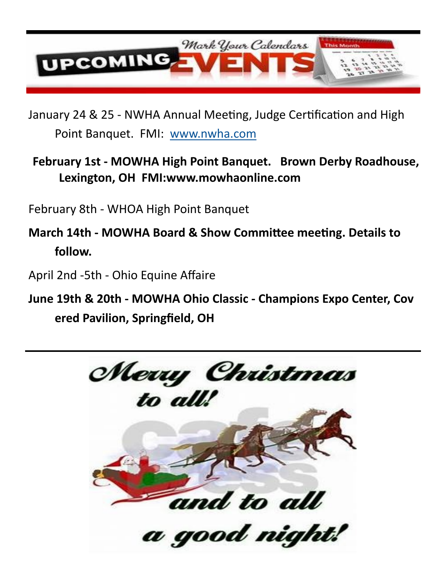

January 24 & 25 - NWHA Annual Meeting, Judge Certification and High Point Banquet. FMI: [www.nwha.com](http://www.nwha.com/)

## **February 1st - MOWHA High Point Banquet. Brown Derby Roadhouse, Lexington, OH FMI:www.mowhaonline.com**

February 8th - WHOA High Point Banquet

**March 14th - MOWHA Board & Show Committee meeting. Details to follow.**

April 2nd -5th - Ohio Equine Affaire

**June 19th & 20th - MOWHA Ohio Classic - Champions Expo Center, Cov ered Pavilion, Springfield, OH**

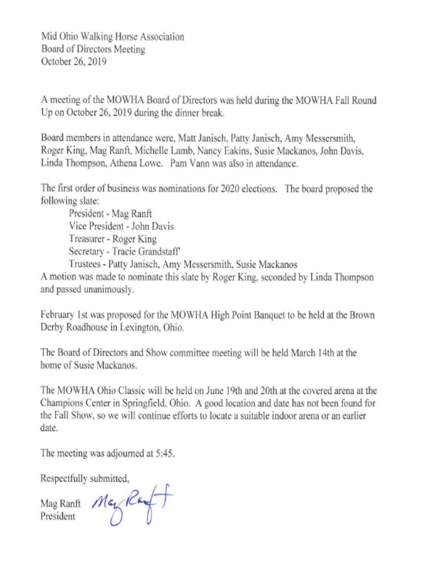Mid Ohio Walking Horse Association Board of Directors Meeting October 26, 2019

A meeting of the MOWHA Board of Directors was held during the MOWHA Fall Round Up on October 26, 2019 during the dinner break.

Board members in attendance were, Matt Janisch, Patty Janisch, Amy Messersmith, Roger King, Mag Ranft, Michelle Lamb, Nancy Eakins, Susie Mackanos, John Davis, Linda Thompson, Athena Lowe. Pam Vann was also in attendance.

The first order of business was nominations for 2020 elections. The board proposed the following slate:

President - Mag Ranft Vice President - John Davis Treasurer - Roger King Secretary - Tracie Grandstaff' Trustees - Patty Janisch, Amy Messersmith, Susie Mackanos

A motion was made to nominate this slate by Roger King, seconded by Linda Thompson and passed unanimously.

February 1st was proposed for the MOWHA High Point Banquet to be held at the Brown Derby Roadhouse in Lexington, Ohio.

The Board of Directors and Show committee meeting will be held March 14th at the home of Susie Mackanos.

The MOWHA Ohio Classic will be held on June 19th and 20th at the covered arena at the Champions Center in Springfield, Ohio. A good location and date has not been found for the Fall Show, so we will continue efforts to locate a suitable indoor arena or an earlier date.

The meeting was adjourned at 5:45.

Respectfully submitted,

Mag Ranft May Ray